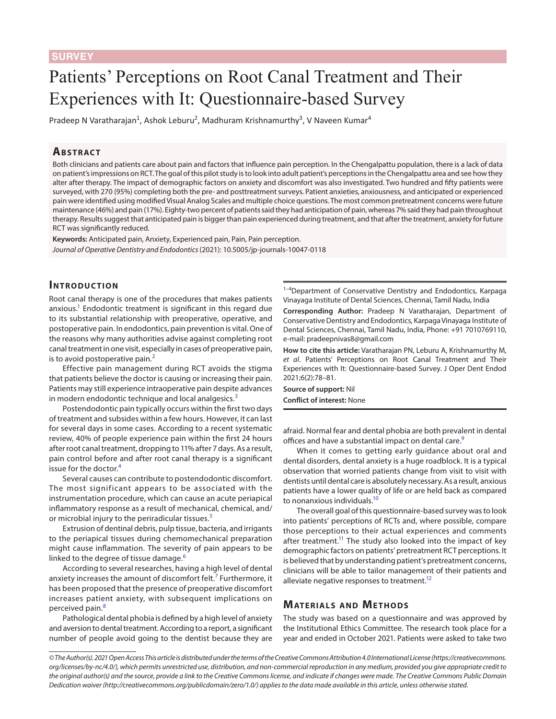# Patients' Perceptions on Root Canal Treatment and Their Experiences with It: Questionnaire-based Survey

Pradeep N Varatharajan<sup>1</sup>, Ashok Leburu<sup>2</sup>, Madhuram Krishnamurthy<sup>3</sup>, V Naveen Kumar<sup>4</sup>

## **ABSTRACT**

Both clinicians and patients care about pain and factors that influence pain perception. In the Chengalpattu population, there is a lack of data on patient's impressions on RCT. The goal of this pilot study is to look into adult patient's perceptions in the Chengalpattu area and see how they alter after therapy. The impact of demographic factors on anxiety and discomfort was also investigated. Two hundred and fifty patients were surveyed, with 270 (95%) completing both the pre- and posttreatment surveys. Patient anxieties, anxiousness, and anticipated or experienced pain were identified using modified Visual Analog Scales and multiple choice questions. The most common pretreatment concerns were future maintenance (46%) and pain (17%). Eighty-two percent of patients said they had anticipation of pain, whereas 7% said they had pain throughout therapy. Results suggest that anticipated pain is bigger than pain experienced during treatment, and that after the treatment, anxiety for future RCT was significantly reduced.

**Keywords:** Anticipated pain, Anxiety, Experienced pain, Pain, Pain perception. *Journal of Operative Dentistry and Endodontics* (2021): 10.5005/jp-journals-10047-0118

### **INTRODUCTION**

Root canal therapy is one of the procedures that makes patients anxious.<sup>1</sup> Endodontic treatment is significant in this regard due to its substantial relationship with preoperative, operative, and postoperative pain. In endodontics, pain prevention is vital. One of the reasons why many authorities advise against completing root canal treatment in one visit, especially in cases of preoperative pain, is to avoid postoperative pain.<sup>[2](#page-3-1)</sup>

Effective pain management during RCT avoids the stigma that patients believe the doctor is causing or increasing their pain. Patients may still experience intraoperative pain despite advances in modern endodontic technique and local analgesics.<sup>[3](#page-3-2)</sup>

Postendodontic pain typically occurs within the first two days of treatment and subsides within a few hours. However, it can last for several days in some cases. According to a recent systematic review, 40% of people experience pain within the first 24 hours after root canal treatment, dropping to 11% after 7 days. As a result, pain control before and after root canal therapy is a significant issue for the doctor.<sup>[4](#page-3-3)</sup>

Several causes can contribute to postendodontic discomfort. The most significant appears to be associated with the instrumentation procedure, which can cause an acute periapical inflammatory response as a result of mechanical, chemical, and/ or microbial injury to the periradicular tissues.<sup>[5](#page-3-4)</sup>

Extrusion of dentinal debris, pulp tissue, bacteria, and irrigants to the periapical tissues during chemomechanical preparation might cause inflammation. The severity of pain appears to be linked to the degree of tissue damage.<sup>[6](#page-3-5)</sup>

According to several researches, having a high level of dental anxiety increases the amount of discomfort felt.<sup>[7](#page-3-6)</sup> Furthermore, it has been proposed that the presence of preoperative discomfort increases patient anxiety, with subsequent implications on perceived pain.[8](#page-3-7)

Pathological dental phobia is defined by a high level of anxiety and aversion to dental treatment. According to a report, a significant number of people avoid going to the dentist because they are

 $1-4$ Department of Conservative Dentistry and Endodontics, Karpaga Vinayaga Institute of Dental Sciences, Chennai, Tamil Nadu, India

**Corresponding Author:** Pradeep N Varatharajan, Department of Conservative Dentistry and Endodontics, Karpaga Vinayaga Institute of Dental Sciences, Chennai, Tamil Nadu, India, Phone: +91 7010769110, e-mail: pradeepnivas8@gmail.com

**How to cite this article:** Varatharajan PN, Leburu A, Krishnamurthy M, *et al*. Patients' Perceptions on Root Canal Treatment and Their Experiences with It: Questionnaire-based Survey. J Oper Dent Endod 2021;6(2):78–81.

**Source of support:** Nil

**Conflict of interest:** None

afraid. Normal fear and dental phobia are both prevalent in dental offices and have a substantial impact on dental care.<sup>9</sup>

When it comes to getting early guidance about oral and dental disorders, dental anxiety is a huge roadblock. It is a typical observation that worried patients change from visit to visit with dentists until dental care is absolutely necessary. As a result, anxious patients have a lower quality of life or are held back as compared to nonanxious individuals.<sup>10</sup>

The overall goal of this questionnaire-based survey was to look into patients' perceptions of RCTs and, where possible, compare those perceptions to their actual experiences and comments after treatment.<sup>11</sup> The study also looked into the impact of key demographic factors on patients' pretreatment RCT perceptions. It is believed that by understanding patient's pretreatment concerns, clinicians will be able to tailor management of their patients and alleviate negative responses to treatment.<sup>12</sup>

# **MATERIALS AND METHODS**

The study was based on a questionnaire and was approved by the Institutional Ethics Committee. The research took place for a year and ended in October 2021. Patients were asked to take two

*<sup>©</sup> The Author(s). 2021 Open Access This article is distributed under the terms of the Creative Commons Attribution 4.0 International License ([https://creativecommons.](https://creativecommons.org/licenses/by-nc/4.0/) [org/licenses/by-nc/4.0/](https://creativecommons.org/licenses/by-nc/4.0/)), which permits unrestricted use, distribution, and non-commercial reproduction in any medium, provided you give appropriate credit to the original author(s) and the source, provide a link to the Creative Commons license, and indicate if changes were made. The Creative Commons Public Domain Dedication waiver ([http://creativecommons.org/publicdomain/zero/1.0/\)](http://creativecommons.org/publicdomain/zero/1.0/) applies to the data made available in this article, unless otherwise stated.*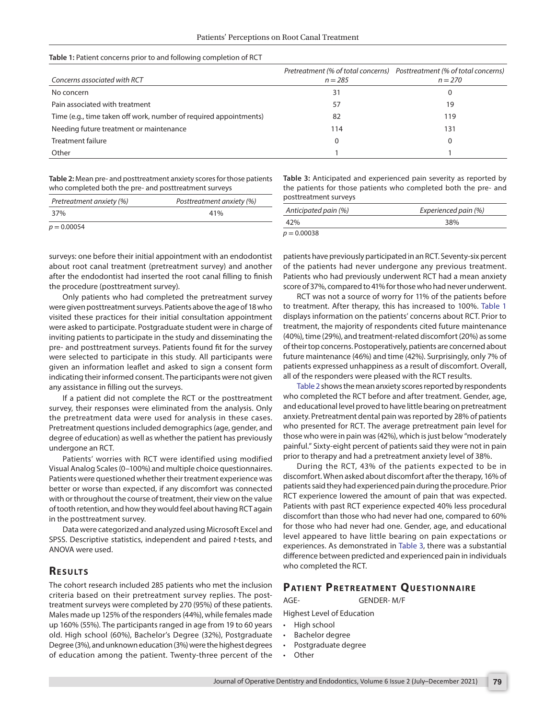#### <span id="page-1-0"></span>**Table 1:** Patient concerns prior to and following completion of RCT

| Concerns associated with RCT                                      | $n = 285$ | Pretreatment (% of total concerns) Posttreatment (% of total concerns)<br>$n = 270$ |
|-------------------------------------------------------------------|-----------|-------------------------------------------------------------------------------------|
| No concern                                                        | 31        |                                                                                     |
| Pain associated with treatment                                    | 57        | 19                                                                                  |
| Time (e.g., time taken off work, number of required appointments) | 82        | 119                                                                                 |
| Needing future treatment or maintenance                           | 114       | 131                                                                                 |
| Treatment failure                                                 |           |                                                                                     |
| Other                                                             |           |                                                                                     |

<span id="page-1-1"></span>**Table 2:** Mean pre- and posttreatment anxiety scores for those patients who completed both the pre- and posttreatment surveys

<span id="page-1-2"></span>**Table 3:** Anticipated and experienced pain severity as reported by the patients for those patients who completed both the pre- and posttreatment surveys

| Pretreatment anxiety (%) | Posttreatment anxiety (%) | postucatinent surveys |                      |
|--------------------------|---------------------------|-----------------------|----------------------|
| 37%                      | 41%                       | Anticipated pain (%)  | Experienced pain (%) |
| $p = 0.00054$            |                           | 42%                   | 38%                  |
|                          |                           | $p = 0.00038$         |                      |

surveys: one before their initial appointment with an endodontist about root canal treatment (pretreatment survey) and another after the endodontist had inserted the root canal filling to finish the procedure (posttreatment survey).

Only patients who had completed the pretreatment survey were given posttreatment surveys. Patients above the age of 18 who visited these practices for their initial consultation appointment were asked to participate. Postgraduate student were in charge of inviting patients to participate in the study and disseminating the pre- and posttreatment surveys. Patients found fit for the survey were selected to participate in this study. All participants were given an information leaflet and asked to sign a consent form indicating their informed consent. The participants were not given any assistance in filling out the surveys.

If a patient did not complete the RCT or the posttreatment survey, their responses were eliminated from the analysis. Only the pretreatment data were used for analysis in these cases. Pretreatment questions included demographics (age, gender, and degree of education) as well as whether the patient has previously undergone an RCT.

Patients' worries with RCT were identified using modified Visual Analog Scales (0–100%) and multiple choice questionnaires. Patients were questioned whether their treatment experience was better or worse than expected, if any discomfort was connected with or throughout the course of treatment, their view on the value of tooth retention, and how they would feel about having RCT again in the posttreatment survey.

Data were categorized and analyzed using Microsoft Excel and SPSS. Descriptive statistics, independent and paired *t*-tests, and ANOVA were used.

#### **RESULTS**

The cohort research included 285 patients who met the inclusion criteria based on their pretreatment survey replies. The posttreatment surveys were completed by 270 (95%) of these patients. Males made up 125% of the responders (44%), while females made up 160% (55%). The participants ranged in age from 19 to 60 years old. High school (60%), Bachelor's Degree (32%), Postgraduate Degree (3%), and unknown education (3%) were the highest degrees of education among the patient. Twenty-three percent of the

patients have previously participated in an RCT. Seventy-six percent of the patients had never undergone any previous treatment. Patients who had previously underwent RCT had a mean anxiety score of 37%, compared to 41% for those who had never underwent.

RCT was not a source of worry for 11% of the patients before to treatment. After therapy, this has increased to 100%. [Table 1](#page-1-0) displays information on the patients' concerns about RCT. Prior to treatment, the majority of respondents cited future maintenance (40%), time (29%), and treatment-related discomfort (20%) as some of their top concerns. Postoperatively, patients are concerned about future maintenance (46%) and time (42%). Surprisingly, only 7% of patients expressed unhappiness as a result of discomfort. Overall, all of the responders were pleased with the RCT results.

[Table 2](#page-1-1) shows the mean anxiety scores reported by respondents who completed the RCT before and after treatment. Gender, age, and educational level proved to have little bearing on pretreatment anxiety. Pretreatment dental pain was reported by 28% of patients who presented for RCT. The average pretreatment pain level for those who were in pain was (42%), which is just below "moderately painful." Sixty-eight percent of patients said they were not in pain prior to therapy and had a pretreatment anxiety level of 38%.

During the RCT, 43% of the patients expected to be in discomfort. When asked about discomfort after the therapy, 16% of patients said they had experienced pain during the procedure. Prior RCT experience lowered the amount of pain that was expected. Patients with past RCT experience expected 40% less procedural discomfort than those who had never had one, compared to 60% for those who had never had one. Gender, age, and educational level appeared to have little bearing on pain expectations or experiences. As demonstrated in [Table 3](#page-1-2), there was a substantial difference between predicted and experienced pain in individuals who completed the RCT.

#### **PATIENT PRETREATMENT QUESTIONNAIRE**

AGE- GENDER- M/F

Highest Level of Education

- High school
- Bachelor degree
- Postgraduate degree
- Other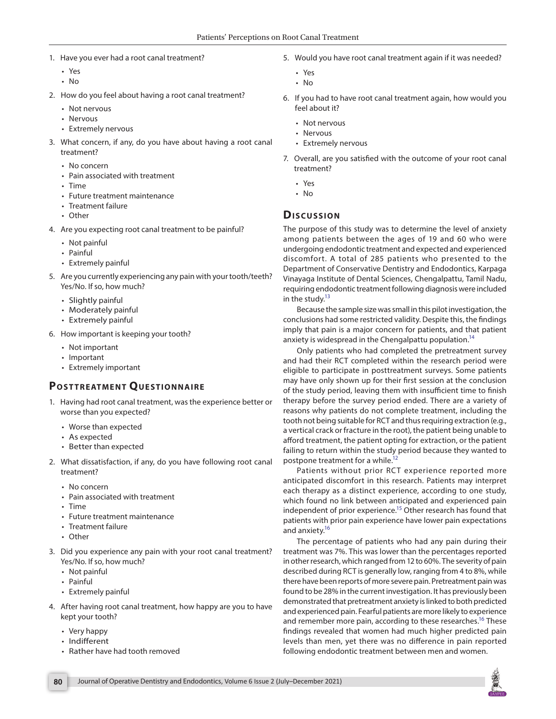- 1. Have you ever had a root canal treatment?
	- Yes
	- No
- 2. How do you feel about having a root canal treatment?
	- Not nervous
	- Nervous
	- Extremely nervous
- 3. What concern, if any, do you have about having a root canal treatment?
	- No concern
	- Pain associated with treatment
	- Time
	- Future treatment maintenance
	- Treatment failure
	- Other
- 4. Are you expecting root canal treatment to be painful?
	- Not painful
	- Painful
	- Extremely painful
- 5. Are you currently experiencing any pain with your tooth/teeth? Yes/No. If so, how much?
	- Slightly painful
	- Moderately painful
	- Extremely painful
- 6. How important is keeping your tooth?
	- Not important
	- Important
	- Extremely important

# **POSTTREATMENT QUESTIONNAIRE**

- 1. Having had root canal treatment, was the experience better or worse than you expected?
	- Worse than expected
	- As expected
	- Better than expected
- 2. What dissatisfaction, if any, do you have following root canal treatment?
	- No concern
	- Pain associated with treatment
	- Time
	- Future treatment maintenance
	- Treatment failure
	- Other
- 3. Did you experience any pain with your root canal treatment? Yes/No. If so, how much?
	- Not painful
	- Painful
	- Extremely painful
- 4. After having root canal treatment, how happy are you to have kept your tooth?
	- Very happy
	- Indifferent
	- Rather have had tooth removed
- 5. Would you have root canal treatment again if it was needed?
	- Yes
	- No
- 6. If you had to have root canal treatment again, how would you feel about it?
	- Not nervous
	- Nervous
	- Extremely nervous
- 7. Overall, are you satisfied with the outcome of your root canal treatment?
	- Yes
	- No

# **Dis c u s sio n**

The purpose of this study was to determine the level of anxiety among patients between the ages of 19 and 60 who were undergoing endodontic treatment and expected and experienced discomfort. A total of 285 patients who presented to the Department of Conservative Dentistry and Endodontics, Karpaga Vinayaga Institute of Dental Sciences, Chengalpattu, Tamil Nadu, requiring endodontic treatment following diagnosis were included in the study. $13$ 

Because the sample size was small in this pilot investigation, the conclusions had some restricted validity. Despite this, the findings imply that pain is a major concern for patients, and that patient anxiety is widespread in the Chengalpattu population.<sup>14</sup>

Only patients who had completed the pretreatment survey and had their RCT completed within the research period were eligible to participate in posttreatment surveys. Some patients may have only shown up for their first session at the conclusion of the study period, leaving them with insufficient time to finish therapy before the survey period ended. There are a variety of reasons why patients do not complete treatment, including the tooth not being suitable for RCT and thus requiring extraction (e.g., a vertical crack or fracture in the root), the patient being unable to afford treatment, the patient opting for extraction, or the patient failing to return within the study period because they wanted to postpone treatment for a while.<sup>12</sup>

Patients without prior RCT experience reported more anticipated discomfort in this research. Patients may interpret each therapy as a distinct experience, according to one study, which found no link between anticipated and experienced pain independent of prior experience.<sup>15</sup> Other research has found that patients with prior pain experience have lower pain expectations and anxiety.<sup>16</sup>

The percentage of patients who had any pain during their treatment was 7%. This was lower than the percentages reported in other research, which ranged from 12 to 60%. The severity of pain described during RCT is generally low, ranging from 4 to 8%, while there have been reports of more severe pain. Pretreatment pain was found to be 28% in the current investigation. It has previously been demonstrated that pretreatment anxiety is linked to both predicted and experienced pain. Fearful patients are more likely to experience and remember more pain, according to these researches.<sup>16</sup> These findings revealed that women had much higher predicted pain levels than men, yet there was no difference in pain reported following endodontic treatment between men and women.